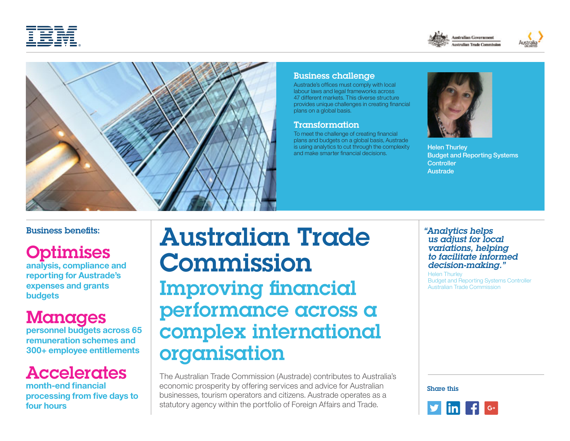







### Business challenge

Austrade's offices must comply with local labour laws and legal frameworks across 47 different markets. This diverse structure provides unique challenges in creating financial plans on a global basis.

#### Transformation

To meet the challenge of creating financial plans and budgets on a global basis, Austrade is using analytics to cut through the complexity and make smarter financial decisions.



Helen Thurley Budget and Reporting Systems **Controller** Austrade

#### Business benefits:

# **Optimises**

**analysis, compliance and reporting for Austrade's expenses and grants budgets**

## Manages

**personnel budgets across 65 remuneration schemes and 300+ employee entitlements**

# Accelerates

**month-end financial processing from five days to four hours**

# Australian Trade Commission Improving financial performance across a complex international organisation

The Australian Trade Commission (Austrade) contributes to Australia's economic prosperity by offering services and advice for Australian businesses, tourism operators and citizens. Austrade operates as a statutory agency within the portfolio of Foreign Affairs and Trade.

#### *"Analytics helps us adjust for local variations, helping to facilitate informed decision-making."*

Helen Thurley Budget and Reporting Systems Controller Australian Trade Commission

Share this

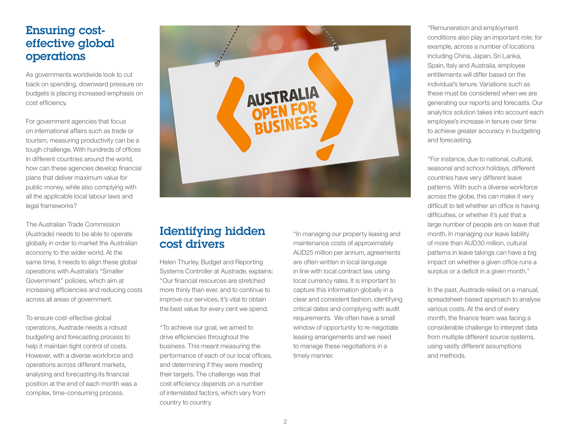## Ensuring costeffective global operations

As governments worldwide look to cut back on spending, downward pressure on budgets is placing increased emphasis on cost efficiency.

For government agencies that focus on international affairs such as trade or tourism, measuring productivity can be a tough challenge. With hundreds of offices in different countries around the world, how can these agencies develop financial plans that deliver maximum value for public money, while also complying with all the applicable local labour laws and legal frameworks?

The Australian Trade Commission (Austrade) needs to be able to operate globally in order to market the Australian economy to the wider world. At the same time, it needs to align these global operations with Australia's "Smaller Government" policies, which aim at increasing efficiencies and reducing costs across all areas of government.

To ensure cost-effective global operations, Austrade needs a robust budgeting and forecasting process to help it maintain tight control of costs. However, with a diverse workforce and operations across different markets, analysing and forecasting its financial position at the end of each month was a complex, time-consuming process.



## Identifying hidden cost drivers

Helen Thurley, Budget and Reporting Systems Controller at Austrade, explains: "Our financial resources are stretched more thinly than ever, and to continue to improve our services, it's vital to obtain the best value for every cent we spend.

"To achieve our goal, we aimed to drive efficiencies throughout the business. This meant measuring the performance of each of our local offices, and determining if they were meeting their targets. The challenge was that cost efficiency depends on a number of interrelated factors, which vary from country to country.

"In managing our property leasing and maintenance costs of approximately AUD25 million per annum, agreements are often written in local language in line with local contract law, using local currency rates. It is important to capture this information globally in a clear and consistent fashion, identifying critical dates and complying with audit requirements. We often have a small window of opportunity to re-negotiate leasing arrangements and we need to manage these negotiations in a timely manner.

"Remuneration and employment conditions also play an important role; for example, across a number of locations including China, Japan, Sri Lanka, Spain, Italy and Australia, employee entitlements will differ based on the individual's tenure. Variations such as these must be considered when we are generating our reports and forecasts. Our analytics solution takes into account each employee's increase in tenure over time to achieve greater accuracy in budgeting and forecasting.

"For instance, due to national, cultural, seasonal and school holidays, different countries have very different leave patterns. With such a diverse workforce across the globe, this can make it very difficult to tell whether an office is having difficulties, or whether it's just that a large number of people are on leave that month. In managing our leave liability of more than AUD30 million, cultural patterns in leave takings can have a big impact on whether a given office runs a surplus or a deficit in a given month."

In the past, Austrade relied on a manual, spreadsheet-based approach to analyse various costs. At the end of every month, the finance team was facing a considerable challenge to interpret data from multiple different source systems, using vastly different assumptions and methods.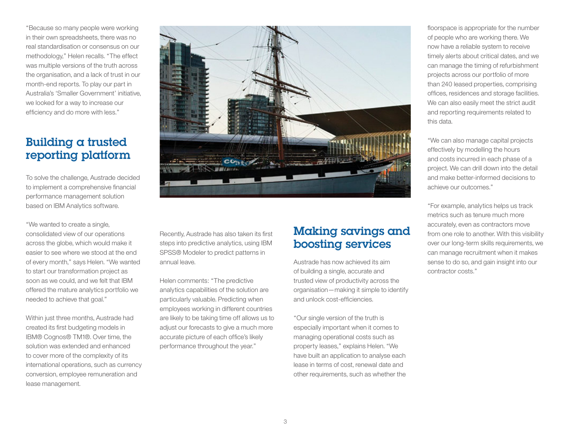"Because so many people were working in their own spreadsheets, there was no real standardisation or consensus on our methodology," Helen recalls. "The effect was multiple versions of the truth across the organisation, and a lack of trust in our month-end reports. To play our part in Australia's 'Smaller Government' initiative, we looked for a way to increase our efficiency and do more with less."

## Building a trusted reporting platform

To solve the challenge, Austrade decided to implement a comprehensive financial performance management solution based on IBM Analytics software.

"We wanted to create a single, consolidated view of our operations across the globe, which would make it easier to see where we stood at the end of every month," says Helen. "We wanted to start our transformation project as soon as we could, and we felt that IBM offered the mature analytics portfolio we needed to achieve that goal."

Within just three months, Austrade had created its first budgeting models in IBM® Cognos® TM1®. Over time, the solution was extended and enhanced to cover more of the complexity of its international operations, such as currency conversion, employee remuneration and lease management.



Recently, Austrade has also taken its first steps into predictive analytics, using IBM SPSS® Modeler to predict patterns in annual leave.

Helen comments: "The predictive analytics capabilities of the solution are particularly valuable. Predicting when employees working in different countries are likely to be taking time off allows us to adjust our forecasts to give a much more accurate picture of each office's likely performance throughout the year."

## Making savings and boosting services

Austrade has now achieved its aim of building a single, accurate and trusted view of productivity across the organisation—making it simple to identify and unlock cost-efficiencies.

"Our single version of the truth is especially important when it comes to managing operational costs such as property leases," explains Helen. "We have built an application to analyse each lease in terms of cost, renewal date and other requirements, such as whether the

floorspace is appropriate for the number of people who are working there. We now have a reliable system to receive timely alerts about critical dates, and we can manage the timing of refurbishment projects across our portfolio of more than 240 leased properties, comprising offices, residences and storage facilities. We can also easily meet the strict audit and reporting requirements related to this data.

"We can also manage capital projects effectively by modelling the hours and costs incurred in each phase of a project. We can drill down into the detail and make better-informed decisions to achieve our outcomes."

"For example, analytics helps us track metrics such as tenure much more accurately, even as contractors move from one role to another. With this visibility over our long-term skills requirements, we can manage recruitment when it makes sense to do so, and gain insight into our contractor costs."